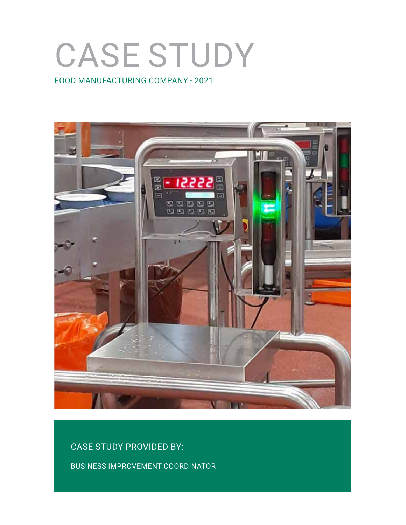# CASE STUDY

FOOD MANUFACTURING COMPANY - 2021



CASE STUDY PROVIDED BY:

BUSINESS IMPROVEMENT COORDINATOR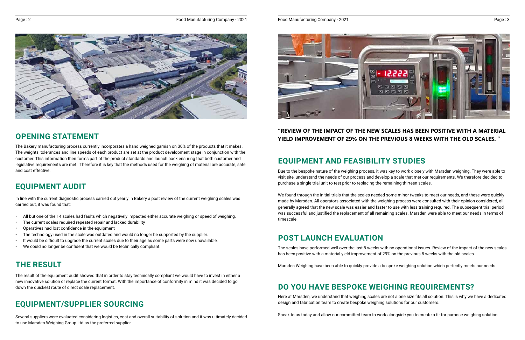### **OPENING STATEMENT**

The Bakery manufacturing process currently incorporates a hand weighed garnish on 30% of the products that it makes. The weights, tolerances and line speeds of each product are set at the product development stage in conjunction with the customer. This information then forms part of the product standards and launch pack ensuring that both customer and legislative requirements are met. Therefore it is key that the methods used for the weighing of material are accurate, safe and cost effective.

- All but one of the 14 scales had faults which negatively impacted either accurate weighing or speed of weighing.
- The current scales required repeated repair and lacked durability
- Operatives had lost confidence in the equipment
- The technology used in the scale was outdated and would no longer be supported by the supplier.
- It would be difficult to upgrade the current scales due to their age as some parts were now unavailable.
- We could no longer be confident that we would be technically compliant.

In line with the current diagnostic process carried out yearly in Bakery a post review of the current weighing scales was carried out, it was found that:

### **"REVIEW OF THE IMPACT OF THE NEW SCALES HAS BEEN POSITIVE WITH A MATERIAL YIELD IMPROVEMENT OF 29% ON THE PREVIOUS 8 WEEKS WITH THE OLD SCALES. "**

### **EQUIPMENT AUDIT**

The result of the equipment audit showed that in order to stay technically compliant we would have to invest in either a new innovative solution or replace the current format. With the importance of conformity in mind it was decided to go down the quickest route of direct scale replacement.

### **THE RESULT**

We found through the initial trials that the scales needed some minor tweaks to meet our needs, and these were quickly made by Marsden. All operators associated with the weighing process were consulted with their opinion considered, all generally agreed that the new scale was easier and faster to use with less training required. The subsequent trial period was successful and justified the replacement of all remaining scales. Marsden were able to meet our needs in terms of timescale.

Several suppliers were evaluated considering logistics, cost and overall suitability of solution and it was ultimately decided to use Marsden Weighing Group Ltd as the preferred supplier.



## **EQUIPMENT/SUPPLIER SOURCING**

### **POST LAUNCH EVALUATION**

The scales have performed well over the last 8 weeks with no operational issues. Review of the impact of the new scales has been positive with a material yield improvement of 29% on the previous 8 weeks with the old scales.

Marsden Weighing have been able to quickly provide a bespoke weighing solution which perfectly meets our needs.

## **DO YOU HAVE BESPOKE WEIGHING REQUIREMENTS?**

Here at Marsden, we understand that weighing scales are not a one size fits all solution. This is why we have a dedicated design and fabrication team to create bespoke weighing solutions for our customers.

Speak to us today and allow our committed team to work alongside you to create a fit for purpose weighing solution.

# **EQUIPMENT AND FEASIBILITY STUDIES**

Due to the bespoke nature of the weighing process, it was key to work closely with Marsden weighing. They were able to visit site, understand the needs of our process and develop a scale that met our requirements. We therefore decided to purchase a single trial unit to test prior to replacing the remaining thirteen scales.